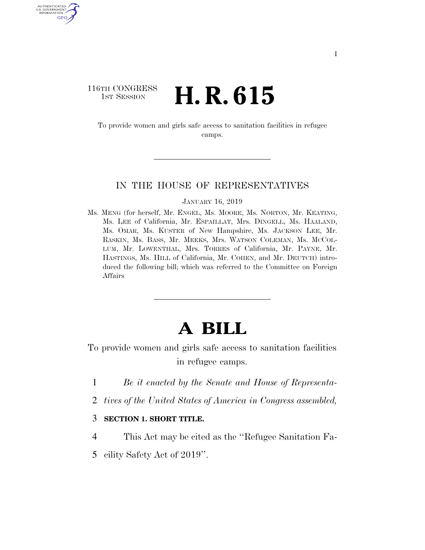## 116TH CONGRESS **1st Session H. R. 615**

AUTHENTICATED U.S. GOVERNMENT GPO

> To provide women and girls safe access to sanitation facilities in refugee camps.

## IN THE HOUSE OF REPRESENTATIVES

JANUARY 16, 2019

Ms. MENG (for herself, Mr. ENGEL, Ms. MOORE, Ms. NORTON, Mr. KEATING, Ms. LEE of California, Mr. ESPAILLAT, Mrs. DINGELL, Ms. HAALAND, Ms. OMAR, Ms. KUSTER of New Hampshire, Ms. JACKSON LEE, Mr. RASKIN, Ms. BASS, Mr. MEEKS, Mrs. WATSON COLEMAN, Ms. MCCOL-LUM, Mr. LOWENTHAL, Mrs. TORRES of California, Mr. PAYNE, Mr. HASTINGS, Ms. HILL of California, Mr. COHEN, and Mr. DEUTCH) introduced the following bill; which was referred to the Committee on Foreign Affairs

## **A BILL**

To provide women and girls safe access to sanitation facilities in refugee camps.

- 1 *Be it enacted by the Senate and House of Representa-*
- 2 *tives of the United States of America in Congress assembled,*

## 3 **SECTION 1. SHORT TITLE.**

- 4 This Act may be cited as the ''Refugee Sanitation Fa-
- 5 cility Safety Act of 2019''.